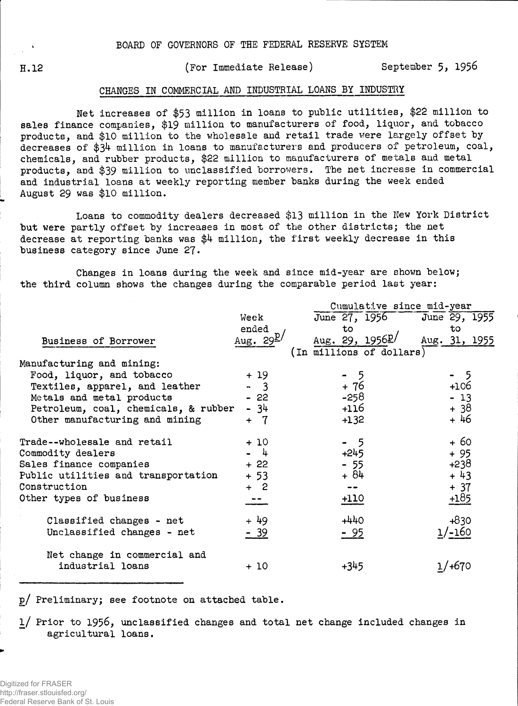H.12 (For Immediate Release) September 5, 1956

## CHANGES IN COMMERCIAL AND INDUSTRIAL LOANS BY INDUSTRY

Net increases of \$53 million in loans to public utilities, \$22 million to sales finance companies, \$19 million to manufacturers of food, liquor, and tobacco products, and \$10 million to the wholesale and retail trade were largely offset bydecreases of \$34 million in loans to manufacturers and producers of petroleum, coal, chemicals, and rubber products, \$22 million to manufacturers of metals and metal products, and \$39 million to unclassified borrowers. The net increase in commercial and industrial loans at weekly reporting member banks during the week ended August 29 was \$10 million.

Loans to commodity dealers decreased \$13 million in the New York District but were partly offset by increases in most of the other districts; the net decrease at reporting banks was \$4 million, the first weekly decrease in this business category since June *2J.*

Changes in loans during the week and since mid-year are shown below; the third column shows the changes during the comparable period last year:

|                                      |                            | Cumulative since mid-year   |               |  |  |  |  |  |  |
|--------------------------------------|----------------------------|-----------------------------|---------------|--|--|--|--|--|--|
|                                      | Week                       | June 27, 1956 June 29, 1955 |               |  |  |  |  |  |  |
|                                      | ended                      | to.                         | to            |  |  |  |  |  |  |
| Business of Borrower                 | Aug. $29^{\underline{p}}/$ | Aug. 29, $1956L$            | Aug. 31, 1955 |  |  |  |  |  |  |
|                                      |                            | (In millions of dollars)    |               |  |  |  |  |  |  |
| Manufacturing and mining:            |                            |                             |               |  |  |  |  |  |  |
| Food, liquor, and tobacco            | $+19$                      | - 5                         | - 5           |  |  |  |  |  |  |
| Textiles, apparel, and leather       | $-3$                       | + 76                        | $+106$        |  |  |  |  |  |  |
| Metals and metal products            | $-22$                      | $-258$                      | $-13$         |  |  |  |  |  |  |
| Petroleum, coal, chemicals, & rubber | - 34                       | +116                        | $+38$         |  |  |  |  |  |  |
| Other manufacturing and mining       | $+ 7$                      | $+132$                      | + 46          |  |  |  |  |  |  |
| Trade--wholesale and retail          | $+10$                      | - 5                         | $+60$         |  |  |  |  |  |  |
| Commodity dealers                    | $-4$                       | $+245$                      | $+95$         |  |  |  |  |  |  |
| Sales finance companies              | $+22$                      | $-55$                       | $+238$        |  |  |  |  |  |  |
| Public utilities and transportation  | $+53$                      | $+84$                       | $+43$         |  |  |  |  |  |  |
| Construction                         | $+ 2$                      | --                          | $+ 37$        |  |  |  |  |  |  |
| Other types of business              |                            | 110                         |               |  |  |  |  |  |  |
| Classified changes - net             | + 49                       | $+440$                      | $+830$        |  |  |  |  |  |  |
| Unclassified changes - net           | $-39$                      | $-95$                       | $1/-160$      |  |  |  |  |  |  |
| Net change in commercial and         |                            |                             |               |  |  |  |  |  |  |
| industrial loans                     | + 10                       | $+345$                      | 1/+670        |  |  |  |  |  |  |

p/ Preliminary; see footnote on attached table.

l/ Prior to 1956, unclassified changes and total net change included changes in agricultural loans.